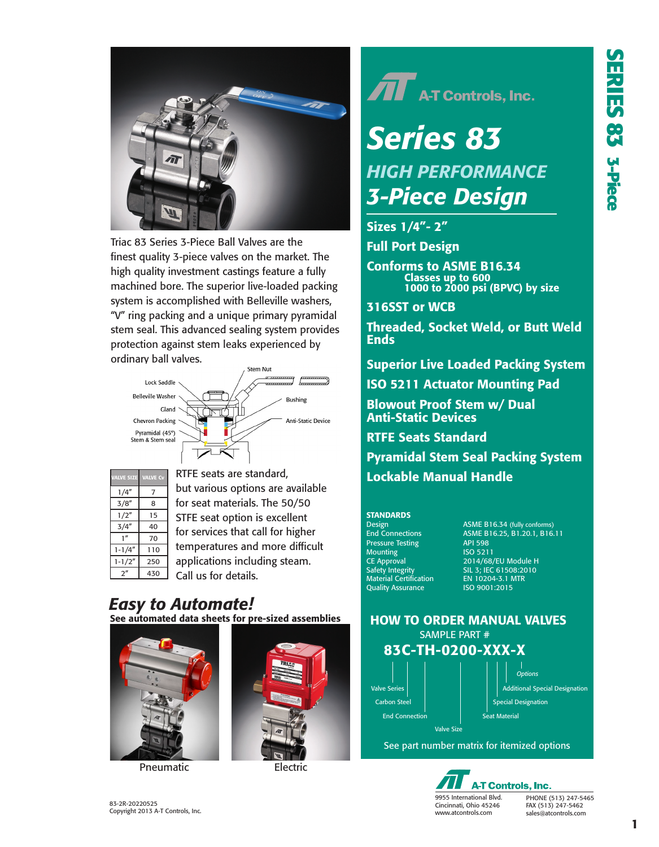

Triac 83 Series 3-Piece Ball Valves are the finest quality 3-piece valves on the market. The high quality investment castings feature a fully machined bore. The superior live-loaded packing system is accomplished with Belleville washers, "V" ring packing and a unique primary pyramidal stem seal. This advanced sealing system provides protection against stem leaks experienced by ordinary ball valves.



| <b>VALVE SIZE</b> | <b>VALVE Cv</b> |
|-------------------|-----------------|
| 1/4"              | 7               |
| 3/8''             | 8               |
| 1/2''             | 15              |
| 3/4"              | 40              |
| 1 <sup>''</sup>   | 70              |
| $1 - 1/4"$        | 110             |
| $1 - 1/2"$        | 250             |
| ን"                | 430             |

RTFE seats are standard, but various options are available for seat materials. The 50/50 STFE seat option is excellent for services that call for higher temperatures and more difficult applications including steam. Call us for details.

# *Easy to Automate!* See automated data sheets for pre-sized assemblies



Pneumatic **Electric** 



 $\widehat{\mathbf{\Pi}}$  A-T Controls, Inc.

# *Series 83 3-Piece Design HIGH PERFORMANCE*

# Sizes 1/4"- 2"

Full Port Design

Conforms to ASME B16.34 Classes up to 600 1000 to 2000 psi (BPVC) by size

316SST or WCB

Threaded, Socket Weld, or Butt Weld Ends

Superior Live Loaded Packing System

ISO 5211 Actuator Mounting Pad

Blowout Proof Stem w/ Dual Anti-Static Devices

RTFE Seats Standard

Pyramidal Stem Seal Packing System Lockable Manual Handle

## **STANDARDS**

Pressure Testing API 598<br>
Mounting 150 5211 Mounting<br>CE Approval Safety Integrity<br>
Safety Integrity<br>
Material Certification EN 10204-3.1 M<br>
Quality Assurance ISO 9001:2015 **Quality Assurance** 

Design **ASME B16.34 (fully conforms)**<br>
End Connections **ASME B16.25, B1.20.1, B16.** ASME B16.25, B1.20.1, B16.11<br>API 598 2014/68/EU Module H SIL 3; IEC 61508:2010<br>EN 10204-3.1 MTR

## HOW TO ORDER MANUAL VALVES SAMPLE PART #



See part number matrix for itemized options



PHONE (513) 247-5465 FAX (513) 247-5462 sales@atcontrols.com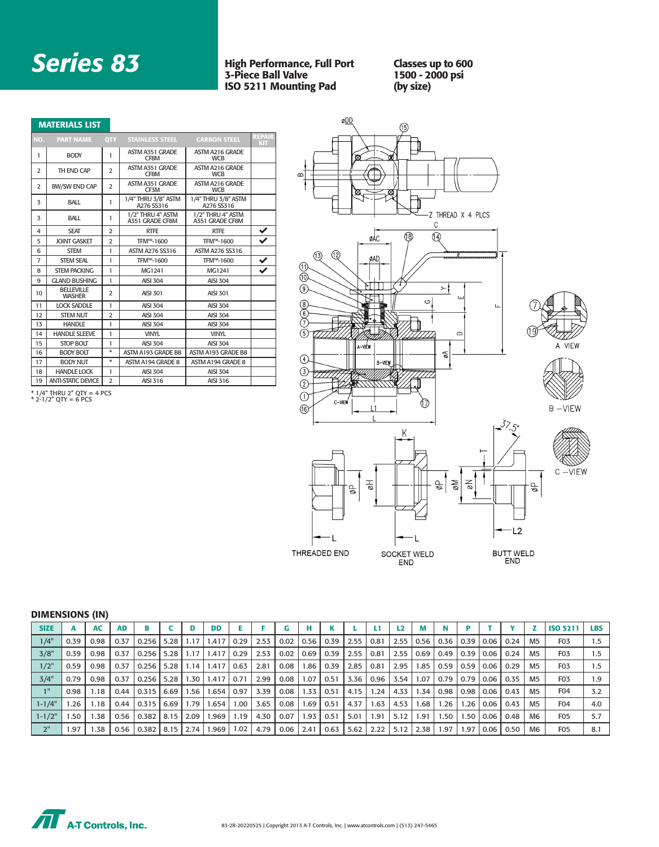# *Series 83*

## High Performance, Full Port 3-Piece Ball Valve ISO 5211 Mounting Pad

Classes up to 600 1500 - 2000 psi (by size)

|                | <b>MATERIALS LIST</b>              |                |                                      |                                      |                      |
|----------------|------------------------------------|----------------|--------------------------------------|--------------------------------------|----------------------|
| NO.            | <b>PART NAME</b>                   | <b>OTY</b>     | <b>STAINLESS STEEL</b>               | <b>CARBON STEEL</b>                  | REPAIR<br><b>KIT</b> |
| 1              | <b>BODY</b>                        | 1              | ASTM A351 GRADE<br>CF8M              | ASTM A216 GRADE<br><b>WCB</b>        |                      |
| $\overline{2}$ | TH END CAP                         | $\overline{2}$ | ASTM A351 GRADE<br>CF8M              | ASTM A216 GRADE<br><b>WCB</b>        |                      |
| $\overline{2}$ | <b>BW/SW END CAP</b>               | $\overline{2}$ | ASTM A351 GRADE<br>CF3M              | ASTM A216 GRADE<br><b>WCB</b>        |                      |
| 3              | BALL                               | 1              | 1/4" THRU 3/8" ASTM<br>A276 SS316    | 1/4" THRU 3/8" ASTM<br>A276 SS316    |                      |
| 3              | BALL                               | 1              | 1/2" THRU 4" ASTM<br>A351 GRADE CF8M | 1/2" THRU 4" ASTM<br>A351 GRADE CF8M |                      |
| 4              | <b>SEAT</b>                        | 2              | <b>RTFE</b>                          | <b>RTFE</b>                          | ✔                    |
| 5              | <b>JOINT GASKET</b>                | $\overline{a}$ | TFM™-1600                            | TFM™-1600                            | ✓                    |
| 6              | <b>STEM</b>                        | 1              | <b>ASTM A276 SS316</b>               | <b>ASTM A276 SS316</b>               |                      |
| 7              | <b>STEM SEAL</b>                   | 1              | TFM™-1600                            | TFM™-1600                            |                      |
| 8              | <b>STEM PACKING</b>                | 1              | MG1241                               | MG1241                               |                      |
| 9              | <b>GLAND BUSHING</b>               | 1              | AISI 304                             | <b>AISI 304</b>                      |                      |
| 10             | <b>BELLEVILLE</b><br><b>WASHER</b> | 2              | <b>AISI 301</b>                      | <b>AISI 301</b>                      |                      |
| 11             | <b>LOCK SADDLE</b>                 | 1              | <b>AISI 304</b>                      | <b>AISI 304</b>                      |                      |
| 12             | <b>STEM NUT</b>                    | $\overline{2}$ | <b>AISI 304</b>                      | <b>AISI 304</b>                      |                      |
| 13             | <b>HANDLE</b>                      | 1              | <b>AISI 304</b>                      | <b>AISI 304</b>                      |                      |
| 14             | <b>HANDLE SLEEVE</b>               | 1              | <b>VINYL</b>                         | <b>VINYL</b>                         |                      |
| 15             | <b>STOP BOLT</b>                   | 1              | <b>AISI 304</b>                      | <b>AISI 304</b>                      |                      |
| 16             | <b>BODY BOLT</b>                   | $*$            | ASTM A193 GRADE B8                   | ASTM A193 GRADE B8                   |                      |
| 17             | <b>BODY NUT</b>                    | *              | ASTM A194 GRADE 8                    | ASTM A194 GRADE 8                    |                      |
| 18             | <b>HANDLE LOCK</b>                 | $\mathbf{I}$   | <b>AISI 304</b>                      | <b>AISI 304</b>                      |                      |
| 19             | <b>ANTI-STATIC DEVICE</b>          | $\overline{2}$ | AISI 316                             | AISI 316                             |                      |



\* 1/4" THRU 2" QTY = 4 PCS \* 2-1/2" QTY = 6 PCS

DIMENSIONS (IN)

| <b>SIZE</b> |      | <b>AC</b> | <b>AD</b> |       |        |      | <b>DD</b>      |      |      |      |      |      |      | ы    |      | М    |                 |       |        |      |                | <b>ISO 5211</b>  | <b>LBS</b> |
|-------------|------|-----------|-----------|-------|--------|------|----------------|------|------|------|------|------|------|------|------|------|-----------------|-------|--------|------|----------------|------------------|------------|
| 1/4"        | 0.39 | 0.98      | 0.37      | 0.256 | 5.28   | 1.17 | 1.417          | 0.29 | 2.53 | 0.02 | 0.56 | 0.39 | 2.55 | 0.81 | 2.55 | 0.56 | 0.36            | 10.39 | 0.06   | 0.24 | M <sub>5</sub> | F <sub>0</sub> 3 | 1.5        |
| 3/8"        | 0.39 | 0.98      | 0.37      | 0.256 | 5.28   | 1.17 | 1.417          | 0.29 | 2.53 | 0.02 | 0.69 | 0.39 | 2.55 | 0.81 | 2.55 | 0.69 | 0.49            | 0.39  | 0.06   | 0.24 | M <sub>5</sub> | F <sub>0</sub> 3 | 1.5        |
| $1/2$ "     | 0.59 | 0.98      | 0.37      | 0.256 | 5.28   | 1.14 | 1.417          | 0.63 | 2.81 | 0.08 | 1.86 | 0.39 | 2.85 | 0.81 | 2.95 | 1.85 | 0.59            | 0.59  | 0.06   | 0.29 | M <sub>5</sub> | F <sub>0</sub> 3 | 1.5        |
| 3/4"        | 0.79 | 0.98      | 0.37      | 0.256 | 5.28   | 1.30 | 1.417          | 0.71 | 2.99 | 0.08 | 1.07 | 0.51 | 3.36 | 0.96 | 3.54 | 1.07 | 0.79            | 0.79  | l 0.06 | 0.35 | M5             | F <sub>0</sub> 3 | .9         |
| $1$ H       | 0.98 | 1.18      | 0.44      | 0.315 | 6.69   | 1.56 | $1.654$   0.97 |      | 3.39 | 0.08 | 1.33 | 0.51 | 4.15 | 1.24 | 4.33 | 1.34 | $0.98$   $0.98$ |       | 0.06   | 0.43 | M <sub>5</sub> | F <sub>04</sub>  | 3.2        |
| $1 - 1/4"$  | .26  | 1.18      | 0.44      | 0.315 | 6.69   | 1.79 | 1.654          | 1.00 | 3.65 | 0.08 | 1.69 | 0.51 | 4.37 | 1.63 | 4.53 | 1.68 | 1.26            | 1.26  | 0.06   | 0.43 | M <sub>5</sub> | F <sub>04</sub>  | 4.0        |
| $1 - 1/2$   | . 50 | 1.38      | 0.56      | 0.382 | 8.15 l | 2.09 | 969.           | 1.19 | 4.30 | 0.07 | 1.93 | 0.51 | 5.01 | 1.91 | 5.12 | 1.91 | 1.50            | 1.50  | 0.06   | 0.48 | M6             | F <sub>0</sub> 5 | 5.7        |
| 2"          | 1.97 | 1.38      | 0.56      | 0.382 | 8.15 l | 2.74 | 1.969          | 1.02 | 4.79 | 0.06 | 2.41 | 0.63 | 5.62 | 2.22 | 5.12 | 2.38 | 1.97            | 1.97  | 0.06   | 0.50 | M6             | F <sub>0</sub> 5 | 8.1        |

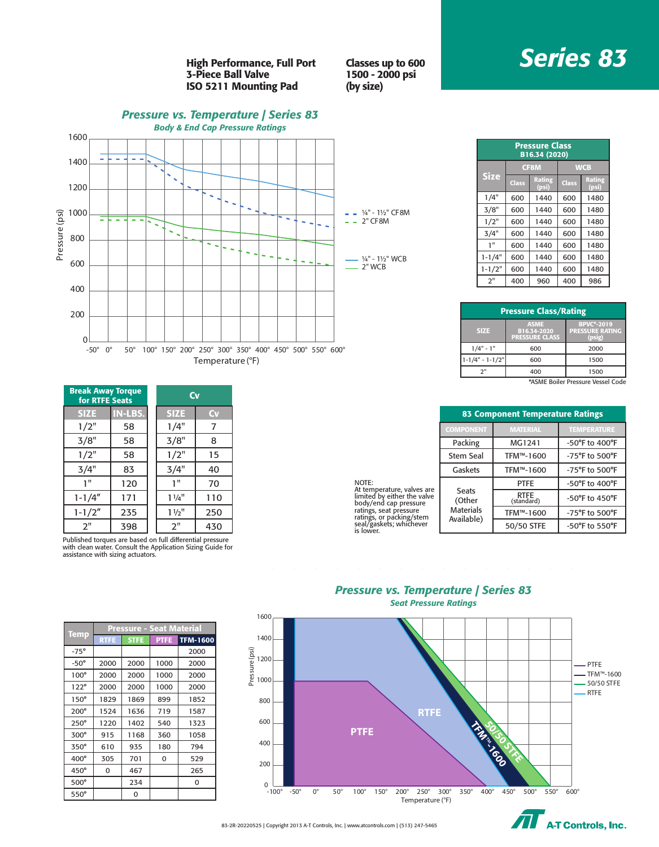# *Series 83*

High Performance, Full Port 3-Piece Ball Valve ISO 5211 Mounting Pad

Classes up to 600 1500 - 2000 psi (by size)

## *Pressure vs. Temperature | Series 83 Body & End Cap Pressure Ratings* 1600 1400 1200 Pressure (psi) 1000 Pressure (psi) 2" CF8M L,  $\sim$   $\sim$ k, 800 ¼" - 1½" WCB 600 2" WCB 400 200 0 -50° 0° 50° 100° 150° 200° 250° 300° 350° 400° 450° 500° 550° 600° Temperature (°F)

| <b>Break Away Torque</b><br>for RTFE Seats |                | Cv             |     |
|--------------------------------------------|----------------|----------------|-----|
| <b>SIZE</b>                                | <b>IN-LBS.</b> | <b>SIZE</b>    | Cv  |
| 1/2"                                       | 58             | 1/4"           |     |
| 3/8"                                       | 58             | 3/8"           | 8   |
| 1/2"                                       | 58             | 1/2"           | 15  |
| 3/4"                                       | 83             | 3/4"           | 40  |
| 1"                                         | 120            | 1"             | 70  |
| $1 - 1/4"$                                 | 171            | $1\frac{1}{4}$ | 110 |
| $1 - 1/2"$                                 | 235            | $1\frac{1}{2}$ | 250 |
| 2"                                         | 398            | 2"             | 430 |

Published torques are based on full differential pressure with clean water. Consult the Application Sizing Guide for assistance with sizing actuators.

|             | Pressure - Seat Material |             |             |                 |  |  |  |  |
|-------------|--------------------------|-------------|-------------|-----------------|--|--|--|--|
| <b>Temp</b> | <b>RTFE</b>              | <b>STFE</b> | <b>PTFE</b> | <b>TFM-1600</b> |  |  |  |  |
| $-75^\circ$ |                          |             |             | 2000            |  |  |  |  |
| $-50^\circ$ | 2000                     | 2000        | 1000        | 2000            |  |  |  |  |
| $100^\circ$ | 2000                     | 2000        | 1000        | 2000            |  |  |  |  |
| $122^\circ$ | 2000                     | 2000        | 1000        | 2000            |  |  |  |  |
| $150^\circ$ | 1829                     | 1869        | 899         | 1852            |  |  |  |  |
| $200^\circ$ | 1524                     | 1636        | 719         | 1587            |  |  |  |  |
| $250^\circ$ | 1220                     | 1402        | 540         | 1323            |  |  |  |  |
| $300^\circ$ | 915                      | 1168        | 360         | 1058            |  |  |  |  |
| $350^\circ$ | 610                      | 935         | 180         | 794             |  |  |  |  |
| $400^\circ$ | 305                      | 701         | 0           | 529             |  |  |  |  |
| $450^\circ$ | 0                        | 467         |             | 265             |  |  |  |  |
| 500°        |                          | 234         |             | 0               |  |  |  |  |
| $550^\circ$ |                          | 0           |             |                 |  |  |  |  |

| $-$ ¼" - 1½" CF8M<br>$-2$ " CF8M |  |  |
|----------------------------------|--|--|
| - ¼" - 1½" WCB<br>$-2" WCB$      |  |  |
|                                  |  |  |

| <b>Pressure Class</b><br>B16.34 (2020) |       |                 |            |                 |  |  |  |  |  |  |  |
|----------------------------------------|-------|-----------------|------------|-----------------|--|--|--|--|--|--|--|
|                                        |       | <b>CF8M</b>     | <b>WCB</b> |                 |  |  |  |  |  |  |  |
| <b>Size</b>                            | Class | Rating<br>(psi) | Class      | Rating<br>(psi) |  |  |  |  |  |  |  |
| 1/4"                                   | 600   | 1440            | 600        | 1480            |  |  |  |  |  |  |  |
| 3/8"                                   | 600   | 1440            | 600        | 1480            |  |  |  |  |  |  |  |
| 1/2"                                   | 600   | 1440            | 600        | 1480            |  |  |  |  |  |  |  |
| 3/4"                                   | 600   | 1440            | 600        | 1480            |  |  |  |  |  |  |  |
| 1"                                     | 600   | 1440            | 600        | 1480            |  |  |  |  |  |  |  |
| $1 - 1/4"$                             | 600   | 1440            | 600        | 1480            |  |  |  |  |  |  |  |
| $1 - 1/2"$                             | 600   | 1440            | 600        | 1480            |  |  |  |  |  |  |  |
| 2"                                     | 400   | 960             | 400        | 986             |  |  |  |  |  |  |  |

| <b>Pressure Class/Rating</b>      |                                                     |                                                       |  |  |  |  |  |  |  |
|-----------------------------------|-----------------------------------------------------|-------------------------------------------------------|--|--|--|--|--|--|--|
| <b>SIZE</b>                       | <b>ASME</b><br>B16.34-2020<br><b>PRESSURE CLASS</b> | <b>BPVC*-2019</b><br><b>PRESSURE RATING</b><br>(psig) |  |  |  |  |  |  |  |
| $1/4" - 1"$                       | 600                                                 | 2000                                                  |  |  |  |  |  |  |  |
| $1 - 1/4" - 1 - 1/2"$             | 600                                                 | 1500                                                  |  |  |  |  |  |  |  |
| 2"                                | 400                                                 | 1500                                                  |  |  |  |  |  |  |  |
| *ASME Boiler Pressure Vessel Code |                                                     |                                                       |  |  |  |  |  |  |  |

| 83 Component Temperature Ratings |                 |                    |  |  |  |  |  |  |
|----------------------------------|-----------------|--------------------|--|--|--|--|--|--|
| <b>COMPONENT</b>                 | <b>MATERIAL</b> | <b>TEMPERATURE</b> |  |  |  |  |  |  |
| Packing                          | MG1241          | -50°F to 400°F     |  |  |  |  |  |  |

PTFE | -50°F to 400°F

TFM™-1600 -75°F to 500°F 50/50 STFE -50°F to 550°F

-50°F to 450°F

Stem Seal  $\parallel$  TFM™-1600  $\parallel$  -75°F to 500°F Gaskets | TFM™-1600 | -75°F to 500°F

RTFE<br>(standard)

NOTE: At temperature, valves are<br>limited by either the valve<br>body/end cap pressure<br>ratings, seat pressure<br>ratings, or packing/stem<br>seal/gaskets; whichever<br>is lower.

## *Pressure vs. Temperature | Series 83 Seat Pressure Ratings*

Seats (Other Materials Available)



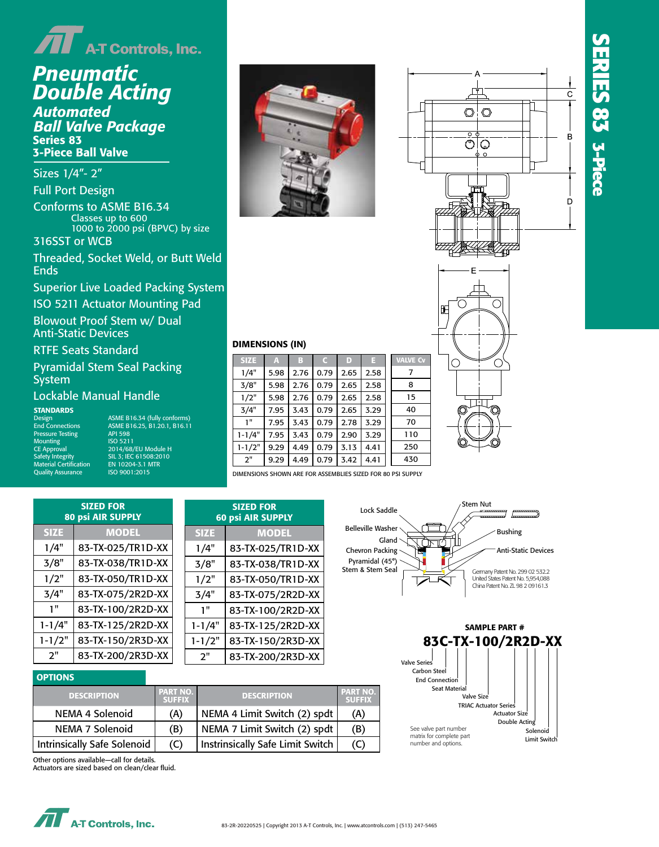# *Pneumatic Double Acting*

*Pneumatic Pneumatic Ball Valve Package Double Acting Automated Automated*  3-Piece Ball Valve *Double Acting* Series 83 *Automated*

*Ball Valve Package Ball Valve Package* Sizes 1/4"- 2"

Full Port Design Conforms to ASME B16.34 Sizes 1/4"- 2" Sizes 1/4"- 2" 1000 to 2000 psi (BPVC) by size 316SST or WCB Classes up to 600

Threaded, Socket Weld, or Butt Weld Ends in World in the Wo

Superior Live Loaded Packing System

.<br>ISO 5211 Actuator Mounting Pad  $\sum_{i=1}^{n}$ ISO 5211 Actuator Mounting Pad

Blowout Proof Stem w/ Dual<br>Anti-Static Dovises Anti-Static Devices Anti-Static Devices Anti-Static Devices

# RTFE Seats Standard RTFE Seats Standard RTFE Seats Standard

Pyramidal Stem Seal Packing<br>System

# Lockable Manual Handle

**End Connections** Quality Assurance ISO 9001:2008 Quality Assurance ISO 9001:2015 Safety Integrity<br>Material Certification

**RDS**<br>ASME B16.24 (fully conforms)<br>ASME B16.25, B1.20.1, B16.11 API 598<br>ISO 5211 ISO 5209 ISO 5209 CE Approval 2014/68/EU Module H  $\frac{1}{\text{grity}}$   $\frac{1}{\text{SI}}$   $\frac{1}{\text{SI}}$ ; IEC 61508:2010<br>
ertification  $\frac{1}{\text{EN}}$  10204-3.1 MTR ISO 9001:2015 Design ANSI/ASME B16.34 STANDARDS End Connections ASME B16.25, B1.20.1, B16.11 Pressure Testing API 598 Design ASME B16.34 (fully conforms) End Connections ASME B16.25, B1.20.1, B16.11 Marking System for Valves MSS SP-25, MSS SP-110, Pressure Testing API 598 Mounting ISO 5211 Safety Integrity ISL 3; IEC 61508:2010<br>Safety Integrity ISL 3; IEC 61508:2010<br>Material Certification EN 10204-3.1 MTR





C

O



# DIMENSIONS (IN) DIMENSIONS (IN)

| <b>SIZE</b> | $\mathbf{A}$ | в    | $\mathsf{C}$ | D    | н    | <b>VALVE Cv</b> |
|-------------|--------------|------|--------------|------|------|-----------------|
| 1/4"        | 5.98         | 2.76 | 0.79         | 2.65 | 2.58 | 7               |
| 3/8"        | 5.98         | 2.76 | 0.79         | 2.65 | 2.58 | 8               |
| 1/2"        | 5.98         | 2.76 | 0.79         | 2.65 | 2.58 | 15              |
| 3/4"        | 7.95         | 3.43 | 0.79         | 2.65 | 3.29 | 40              |
| 1"          | 7.95         | 3.43 | 0.79         | 2.78 | 3.29 | 70              |
| $1 - 1/4"$  | 7.95         | 3.43 | 0.79         | 2.90 | 3.29 | 110             |
| $1 - 1/2"$  | 9.29         | 4.49 | 0.79         | 3.13 | 4.41 | 250             |
| 2"          | 9.29         | 4.49 | 0.79         | 3.42 | 4.41 | 430             |
|             |              |      |              |      |      |                 |

DIMENSIONS SHOWN ARE FOR ASSEMBLIES SIZED FOR 80 PSI SUPPLY DIMENSIONS SHOWN ARE FOR ASSEMBLIES SIZED FOR 80 PSI SUPPLY

| <b>80 psi AIR SUPPLY</b> |                   |       |
|--------------------------|-------------------|-------|
| <b>SIZE</b>              | <b>MODEL</b>      | S     |
| 1/4"                     | 83-TX-025/TR1D-XX | 1     |
| 3/8"                     | 83-TX-038/TR1D-XX | 3     |
| 1/2"                     | 83-TX-050/TR1D-XX | 1     |
| 3/4"                     | 83-TX-075/2R2D-XX | 3     |
| 1"                       | 83-TX-100/2R2D-XX |       |
| $1 - 1/4"$               | 83-TX-125/2R2D-XX |       |
| $1 - 1/2"$               | 83-TX-150/2R3D-XX | $1 -$ |
| 2"                       | 83-TX-200/2R3D-XX |       |

|             | <b>SIZED FOR</b><br><b>60 psi AIR SUPPLY</b> |    |
|-------------|----------------------------------------------|----|
| <b>SIZE</b> | <b>MODEL</b>                                 | B  |
| 1/4"        | 83-TX-025/TR1D-XX                            | C  |
| 3/8"        | 83-TX-038/TR1D-XX                            | St |
| 1/2"        | 83-TX-050/TR1D-XX                            |    |
| 3/4"        | 83-TX-075/2R2D-XX                            |    |
| 1"          | 83-TX-100/2R2D-XX                            |    |
| $1 - 1/4"$  | 83-TX-125/2R2D-XX                            |    |
| $1 - 1/2"$  | 83-TX-150/2R3D-XX                            |    |
| 2"          | 83-TX-200/2R3D-XX                            |    |



Œ

С



# OPTIONS OPTIONS

| <b>DESCRIPTION</b>                 | <b>PART NO.</b><br><b>SUFFIX</b> | <b>DESCRIPTION</b>               | <b>PART NO.</b><br><b>SUFFIX</b> |
|------------------------------------|----------------------------------|----------------------------------|----------------------------------|
| NEMA 4 Solenoid                    | (A)                              | NEMA 4 Limit Switch (2) spdt     | (A)                              |
| NEMA 7 Solenoid                    | (B)                              | NEMA 7 Limit Switch (2) spdt     | (B)                              |
| <b>Intrinsically Safe Solenoid</b> | (C)                              | Instrinsically Safe Limit Switch |                                  |

Other options available—call for details. Other options available—call for details.

Actuators are sized based on clean/clear fluid. Actuators are sized based on clean/clear fluid.

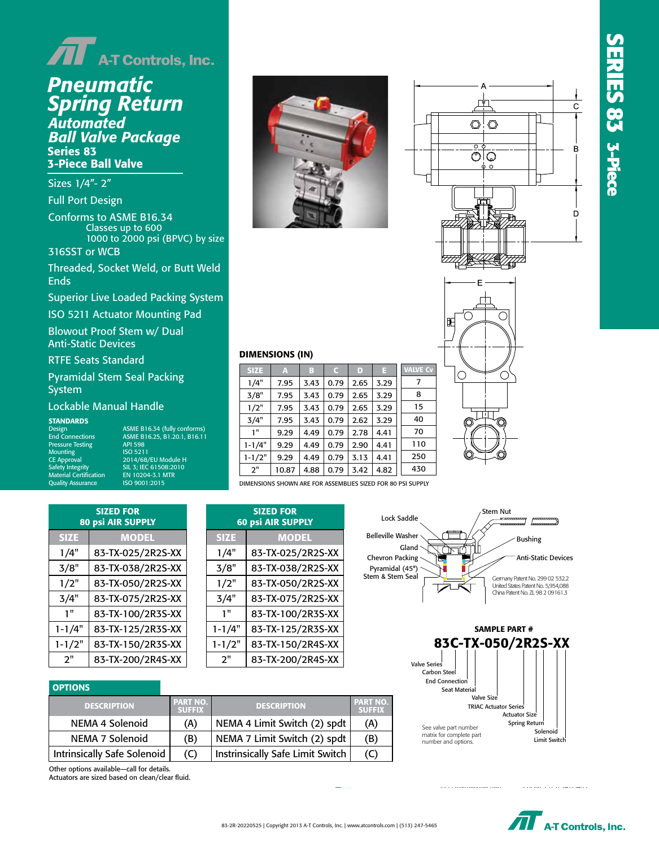



# *Pneumatic Spring Return*

romatea<br>I**I Valve Pack** *Spring Return* Series 83 3-Piece Ball Valve<br>———————————————————— *Pneumatic Automated Spring Return Ball Valve Package*

*Ball Valve Package Ball Valve Package* Sizes 1/4"- 2"

seres 3, 3<br>Full Port Desig Full Port Design

Conforms to ASME B16.34 Sizes 1/4"- 2" Full Port Design 1000 to 2000 psi (BPVC) by size Sizes 1/4"- 2" Classes up to 600

316SST or WCB  $\begin{bmatrix} 1 & 1 & 1 \end{bmatrix}$ 

Threaded, Socket Weld, or Butt Weld 316SST or WCB Ends in Bw Ends in Bw Ends **Ends** 

Superior Live Loaded Packing System

superior Louisian Dades<br>E211 Actuator Mounting Dad ISO 5211 Actuator Mounting Pad

Blowout Proof Stem w/ Dual Anti-Static Devices Anti-Static Devices Anti-Static Devices

E Seats Standard **Standard** RTFE Seats Standard RTFE Seats Standard pyramidal Stem Seal Design Stem Seal Design Seal Design Seal Design Seal Design Seal Design Seal Design Seal D<br>Design Stem Seal Design Seal Design Seal Design Seal Design Seal Design Seal Design Seal Design Seal Design Se

amidal Stem Seal Packing System Pyramidal Stem Seal Packing

## Lockable Manual Handle

Quality Assurance

ASME B16.34 (fully conforms)<br>ASME B16.25, B1.20.1, B16.11 Marking System for API 390<br>ISO 5209 "S" 520 12"<br>| 12014/68/EU Module H<br>| 12014/68/EU Module H<br>| 12015|| 120204-31 MTR ISO 9001:2015 STANDARDS API 598 STANDARDS Mounting ISO 5211  $\texttt{End}~\texttt{Connections} \hspace{1cm} \text{As} \mathsf{ML}~\text{B16.25, B1.20.1, B16.11}$ Safety Integrity IEC 61508:2010; SIL 3 Material Certification EN 10204-3.1 MTR CE Approval 2014/68/EU Module H Safety Integrity SIL 3; IEC 61508:2010 Salety integrity<br>Material Certification EN 10204-3.1 MTR Design ASME B16.34 (fully conforms) End Connections ASME B16.25, B1.20.1, B16.11 Pressure Testing API 598 Mounting ISO 5211







### DIMENSIONS (IN) DIMENSIONS (IN)

| <b>SIZE</b> | A     | в    | $\mathsf{C}$ | D    | Е    | <b>VALVE C</b> |  |
|-------------|-------|------|--------------|------|------|----------------|--|
| 1/4"        | 7.95  | 3.43 | 0.79         | 2.65 | 3.29 | 7              |  |
| 3/8"        | 7.95  | 3.43 | 0.79         | 2.65 | 3.29 | 8              |  |
| 1/2"        | 7.95  | 3.43 | 0.79         | 2.65 | 3.29 | 15             |  |
| 3/4"        | 7.95  | 3.43 | 0.79         | 2.62 | 3.29 | 40             |  |
| 1"          | 9.29  | 4.49 | 0.79         | 2.78 | 4.41 | 70             |  |
| $1 - 1/4"$  | 9.29  | 4.49 | 0.79         | 2.90 | 4.41 | 110            |  |
| $1 - 1/2"$  | 9.29  | 4.49 | 0.79         | 3.13 | 4.41 | 250            |  |
| 2"          | 10.87 | 4.88 | 0.79         | 3.42 | 4.82 | 430            |  |
|             |       |      |              |      |      |                |  |

DIMENSIONS SHOWN ARE FOR ASSEMBLIES SIZED FOR 80 PSI SUPPLY

| <b>SIZED FOR</b><br><b>80 psi AIR SUPPLY</b> |                   |  |  |  |  |
|----------------------------------------------|-------------------|--|--|--|--|
| <b>SIZE</b>                                  | <b>MODEL</b>      |  |  |  |  |
| 1/4"                                         | 83-TX-025/2R2S-XX |  |  |  |  |
| 3/8"                                         | 83-TX-038/2R2S-XX |  |  |  |  |
| 1/2"                                         | 83-TX-050/2R2S-XX |  |  |  |  |
| 3/4"                                         | 83-TX-075/2R2S-XX |  |  |  |  |
| 1"                                           | 83-TX-100/2R3S-XX |  |  |  |  |
| $1 - 1/4"$                                   | 83-TX-125/2R3S-XX |  |  |  |  |
| $1 - 1/2"$                                   | 83-TX-150/2R3S-XX |  |  |  |  |
| 2"                                           | 83-TX-200/2R4S-XX |  |  |  |  |

20-TX-200/2R4S-XX-200/2R4S-XX-200/2R4S-XX-200/2R4S-XX-200/2R4S-XX-200/2R4S-XX-200/2R4S-XX-200/2R4S-XX-200/2R4S

| <b>SIZED FOR</b><br><b>60 psi AIR SUPPLY</b> |                   |  |  |  |  |
|----------------------------------------------|-------------------|--|--|--|--|
| <b>SIZE</b>                                  | <b>MODEL</b>      |  |  |  |  |
| 1/4"                                         | 83-TX-025/2R2S-XX |  |  |  |  |
| 3/8"                                         | 83-TX-038/2R2S-XX |  |  |  |  |
| 1/2"                                         | 83-TX-050/2R2S-XX |  |  |  |  |
| 3/4"                                         | 83-TX-075/2R2S-XX |  |  |  |  |
| 1"                                           | 83-TX-100/2R3S-XX |  |  |  |  |
| $1 - 1/4"$                                   | 83-TX-125/2R3S-XX |  |  |  |  |
| $1 - 1/2"$                                   | 83-TX-150/2R4S-XX |  |  |  |  |
| 2"                                           | 83-TX-200/2R4S-XX |  |  |  |  |
|                                              |                   |  |  |  |  |

## **OPTIONS**

| <b>DESCRIPTION</b>          | PART NO. I<br><b>SUFFIX</b> | <b>DESCRIPTION</b>                      | PART NO.<br><b>SUFFIX</b> |
|-----------------------------|-----------------------------|-----------------------------------------|---------------------------|
| NEMA 4 Solenoid             | (A)                         | NEMA 4 Limit Switch (2) spdt            | (A)                       |
| NEMA 7 Solenoid             | (B)                         | NEMA 7 Limit Switch (2) spdt            | (B)                       |
| Intrinsically Safe Solenoid | (C)                         | <b>Instrinsically Safe Limit Switch</b> |                           |

Actuators are sized based on clean/clear fluid. Other options available—call for details.





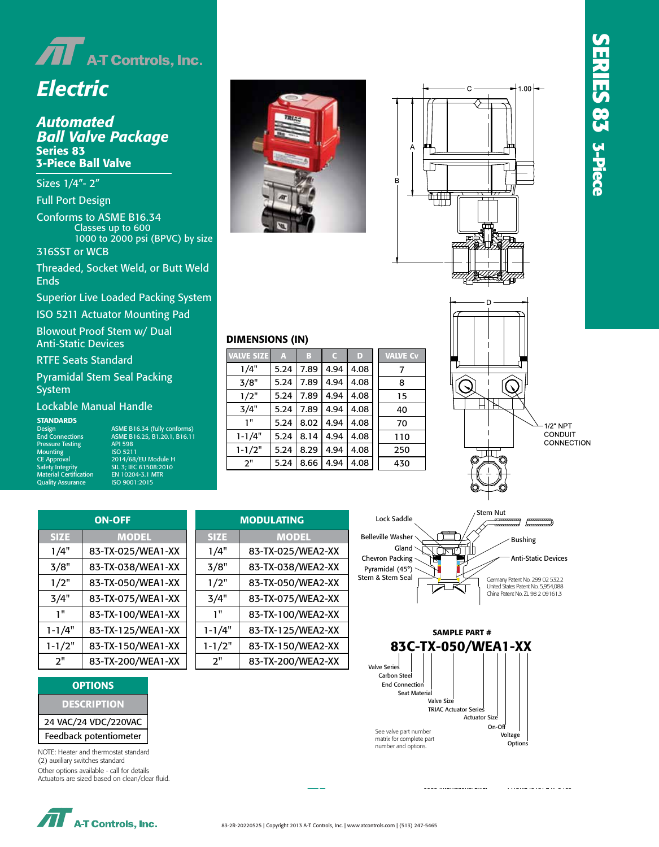

# *Electric*

# *Ball Valve Pa*<br>Series 83 3-Piece Ball Valve<br>———————————————————— *Automated Ball Valve Package*

 $\frac{1}{2}$   $\frac{1}{2}$   $\frac{1}{2}$ *Ball Valve Package Ball Valve Package* Sizes 1/4"- 2"

Full Port Design

**Sizes 1/4 Classes up to 600** Full Port Design Full Port Design 316SST or WCB Sizes 1/4"- 2" 1000 to 2000 psi (BPVC) by size 3-Piece Ball Valve Conforms to ASME B16.34

1600 psi WOG (by size)<br>2000 psi WOG (by size)

Threaded, Socket<br>For Ja TH, SW, or BW Ends Threaded, Socket Weld, or Butt Weld 316SST or WCB Ends

Superior Live Loaded Packing Sys Superior Live Loaded Packing System

.<br>ISO 5211 Actuator Mounting Pad ISO 5211 Actuator Mounting Pad

Blowout Proof Stem w/ Dual Anti-Static Devices Anti-Static Devices Anti-Static Devices

RTFE Seats Standard RTFE Seats Standard RTFE Seats Standard

Pyramidal Stem Seal Packing System

# Lockable Manual Handle **Bio**

Design<br>End Connections Mounting Quality Assurance

end Connections ASME B16.25, B1.20.1, B1.20.1, B1.20.1, B1.20.1, B1.20.1, B1.20.1, B1.20.1, B1.34 Pressure Testing API 598 End Connections ASME B16.25, B1.20.1, B16.11 Pressure Testing API 598 Design ASME B16.34 (fully conforms) End Connections ASME B16.25, B1.20.1, B16.11 end Symbolisms<br>Pressure Testing The API 598  $\log$  MSS SP-211 Marking MSS SP-110, MSS SP-110, MSS SP-110, MSS SP-110, MSS SP-110, MSS SP-110, MSS SP-110, MSS SP-110, MSS SP-110, MSS SP-110, MSS SP-110, MSS SP-110, MSS SP-110, MSS SP-110, MSS SP-110, MSS SP-110, MSS S Safety Integrity IEC 61508:2010; SIL 3 ISO 5209 Safety Integrity IEC 61508:2010; SIL 3 CE Approval 2014/68/EU Module H Material Certification EN 10204-3.1 MTR Quality Assurance ISO 9001:2008 EN 10204-3.1 MTR ISO 9001:2015 Safety Integrity SIL 3; IEC 61508:2010 Material Certification EN 10204-3.1 MTR





# SERIES 83 3-Piece **SERIES 83 3-Piece SERIES 83 3-Piece**



# **DIMENSIONS (IN)**

SIZE MODEL 1/4" 83-TX-025/WEA2-XX

| <b>VALVE SIZE</b> | A    | B    |      | D    | <b>VALVE Cv</b> |
|-------------------|------|------|------|------|-----------------|
| 1/4"              | 5.24 | 7.89 | 4.94 | 4.08 | 7               |
| 3/8"              | 5.24 | 7.89 | 4.94 | 4.08 | 8               |
| 1/2"              | 5.24 | 7.89 | 4.94 | 4.08 | 15              |
| 3/4"              | 5.24 | 7.89 | 4.94 | 4.08 | 40              |
| 1"                | 5.24 | 8.02 | 4.94 | 4.08 | 70              |
| $1 - 1/4"$        | 5.24 | 8.14 | 4.94 | 4.08 | 110             |
| $1 - 1/2"$        | 5.24 | 8.29 | 4.94 | 4.08 | 250             |
| 2"                | 5.24 | 8.66 | 4.94 | 4.08 | 430             |
|                   |      |      |      |      |                 |





ON-OFF **MODULATING** SIZE MODEL 1/4" 83-TX-025/WEA1-XX 3/8" 83-TX-038/WEA1-XX  $\frac{1}{2}$  83-TX-050/WEA1-XX  $\frac{1}{3}{4}$  83-TX-075/WEA1-XX 1" 83-TX-100/WEA1-XX  $\overline{1-1/4" \mid 83-TX-125/WE A1-XX}$ 1-1/2" 83-TX-150/WEA1-XX 2" 83-TX-200/WEA1-XX <u>ON-OFF MODULATION AND ARRESTS MODULATION AND ARRESTS MODULATION AND ARRESTS MODULATION AND ARRESTS MODULATION </u>

2" 83-TX-200/WEA1-XX

## **OPTIONS**

| <b>DESCRIPTION</b>     |
|------------------------|
| 24 VAC/24 VDC/220VAC   |
| Feedback potentiometer |

**Federal or**<br>NOTE: Heater and thermostat standard (2) auxiliary switches standard

Other options available - call for details Actuators are sized based on clean/clear fluid.

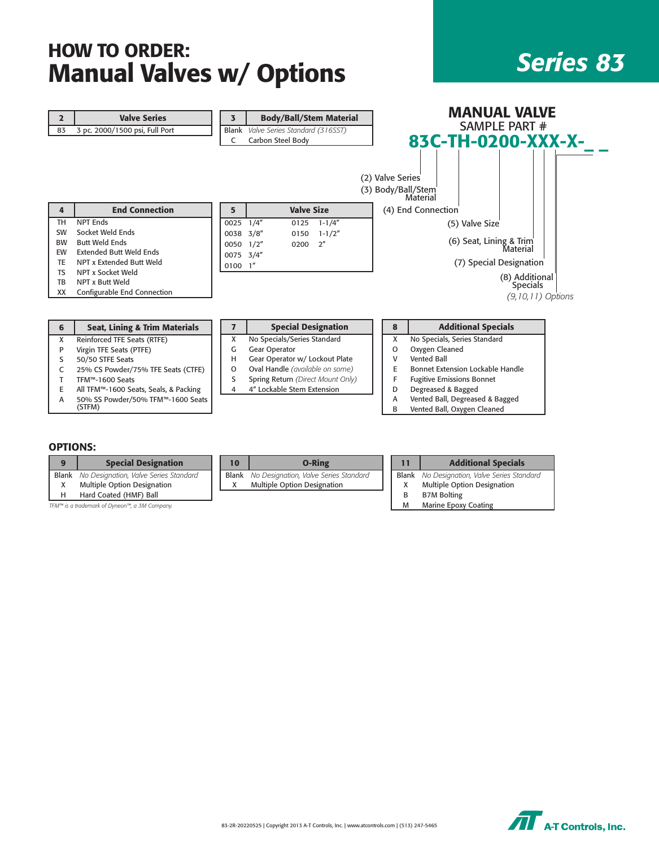# HOW TO ORDER: **Manual Valves w/ Options 222 222 222 222**

| $\overline{2}$ | <b>Valve Series</b>                      | 3            | <b>Body/Ball/Stem Material</b>       |                  | <b>MANUAL VALVE</b>              |
|----------------|------------------------------------------|--------------|--------------------------------------|------------------|----------------------------------|
| 83             | 3 pc. 2000/1500 psi, Full Port           |              | Blank Valve Series Standard (316SST) |                  | SAMPLE PART #                    |
|                |                                          | C            | Carbon Steel Body                    |                  | 83C-TH-0200-XXX-X-               |
|                |                                          |              |                                      | (2) Valve Series | (3) Body/Ball/Stem<br>Material   |
| 4              | <b>End Connection</b>                    | 5            | <b>Valve Size</b>                    |                  | (4) End Connection               |
| <b>TH</b>      | <b>NPT Ends</b>                          | 0025         | 1/4''<br>$1 - 1/4''$<br>0125         |                  | (5) Valve Size                   |
| SW             | Socket Weld Ends                         | 0038         | 3/8''<br>$1 - 1/2"$<br>0150          |                  |                                  |
| <b>BW</b>      | <b>Butt Weld Ends</b>                    | 0050         | 2 <sup>n</sup><br>1/2"<br>0200       |                  | (6) Seat, Lining & Trim          |
| EW             | <b>Extended Butt Weld Ends</b>           | 0075         | 3/4''                                |                  | Material                         |
| <b>TE</b>      | NPT x Extended Butt Weld                 | $0100$ $1''$ |                                      |                  | (7) Special Designation          |
| <b>TS</b>      | NPT x Socket Weld                        |              |                                      |                  | (8) Additional                   |
| TB             | NPT x Butt Weld                          |              |                                      |                  | <b>Specials</b>                  |
| XX             | Configurable End Connection              |              |                                      |                  | $(9, 10, 11)$ Options            |
|                |                                          |              |                                      |                  |                                  |
| 6              | <b>Seat, Lining &amp; Trim Materials</b> | 7            | <b>Special Designation</b>           | 8                | <b>Additional Specials</b>       |
| X              | Reinforced TFE Seats (RTFE)              | X            | No Specials/Series Standard          | X                | No Specials, Series Standard     |
| P              | Virgin TFE Seats (PTFE)                  | G            | Gear Operator                        | 0                | Oxygen Cleaned                   |
| S              | 50/50 STFE Seats                         | н            | Gear Operator w/ Lockout Plate       | v                | <b>Vented Ball</b>               |
| C              | 25% CS Powder/75% TFE Seats (CTFE)       | O            | Oval Handle (available on some)      | Е                | Bonnet Extension Lockable Handle |
| Т              | TFM™-1600 Seats                          | S            | Spring Return (Direct Mount Only)    | F                | <b>Fugitive Emissions Bonnet</b> |

4 4" Lockable Stem Extension

|  | Degreased & Bagged    |
|--|-----------------------|
|  | Vented Rall Degresser |

A Vented Ball, Degreased & Bagged<br>B Vented Ball, Oxygen Cleaned Vented Ball, Oxygen Cleaned

## OPTIONS:

|              | <b>Special Designation</b>                    | 10    | <b>O-Ring</b>                         |   | <b>Additional Specials</b>                         |
|--------------|-----------------------------------------------|-------|---------------------------------------|---|----------------------------------------------------|
| <b>Blank</b> | No Designation, Valve Series Standard         | Blank | No Designation, Valve Series Standard |   | <b>Blank</b> No Designation, Valve Series Standard |
|              | Multiple Option Designation                   |       | <b>Multiple Option Designation</b>    |   | <b>Multiple Option Designation</b>                 |
|              | Hard Coated (HMF) Ball                        |       |                                       |   | <b>B7M Bolting</b>                                 |
|              | TFM™ is a trademark of Dyneon™, a 3M Company. |       |                                       | м | <b>Marine Epoxy Coating</b>                        |

E All TFM™-1600 Seats, Seals, & Packing A 50% SS Powder/50% TFM™-1600 Seats (STFM)

| 83-2R-20220525   Copyright 2013 A-T Controls, Inc.   www.atcontrols.com   (513) 247-5465 | <b>A-T Controls, Inc.</b> |
|------------------------------------------------------------------------------------------|---------------------------|